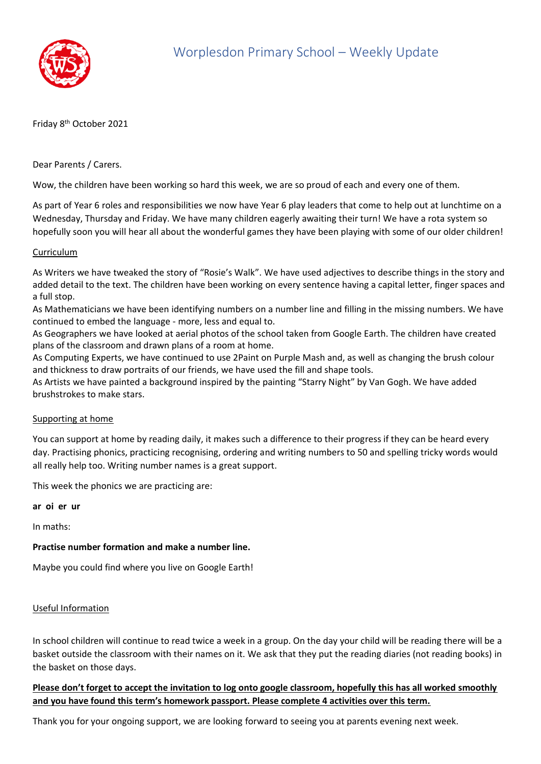

Friday 8<sup>th</sup> October 2021

Dear Parents / Carers.

Wow, the children have been working so hard this week, we are so proud of each and every one of them.

As part of Year 6 roles and responsibilities we now have Year 6 play leaders that come to help out at lunchtime on a Wednesday, Thursday and Friday. We have many children eagerly awaiting their turn! We have a rota system so hopefully soon you will hear all about the wonderful games they have been playing with some of our older children!

#### Curriculum

As Writers we have tweaked the story of "Rosie's Walk". We have used adjectives to describe things in the story and added detail to the text. The children have been working on every sentence having a capital letter, finger spaces and a full stop.

As Mathematicians we have been identifying numbers on a number line and filling in the missing numbers. We have continued to embed the language - more, less and equal to.

As Geographers we have looked at aerial photos of the school taken from Google Earth. The children have created plans of the classroom and drawn plans of a room at home.

As Computing Experts, we have continued to use 2Paint on Purple Mash and, as well as changing the brush colour and thickness to draw portraits of our friends, we have used the fill and shape tools.

As Artists we have painted a background inspired by the painting "Starry Night" by Van Gogh. We have added brushstrokes to make stars.

#### Supporting at home

You can support at home by reading daily, it makes such a difference to their progress if they can be heard every day. Practising phonics, practicing recognising, ordering and writing numbers to 50 and spelling tricky words would all really help too. Writing number names is a great support.

This week the phonics we are practicing are:

**ar oi er ur**

In maths:

### **Practise number formation and make a number line.**

Maybe you could find where you live on Google Earth!

#### Useful Information

In school children will continue to read twice a week in a group. On the day your child will be reading there will be a basket outside the classroom with their names on it. We ask that they put the reading diaries (not reading books) in the basket on those days.

## **Please don't forget to accept the invitation to log onto google classroom, hopefully this has all worked smoothly and you have found this term's homework passport. Please complete 4 activities over this term.**

Thank you for your ongoing support, we are looking forward to seeing you at parents evening next week.